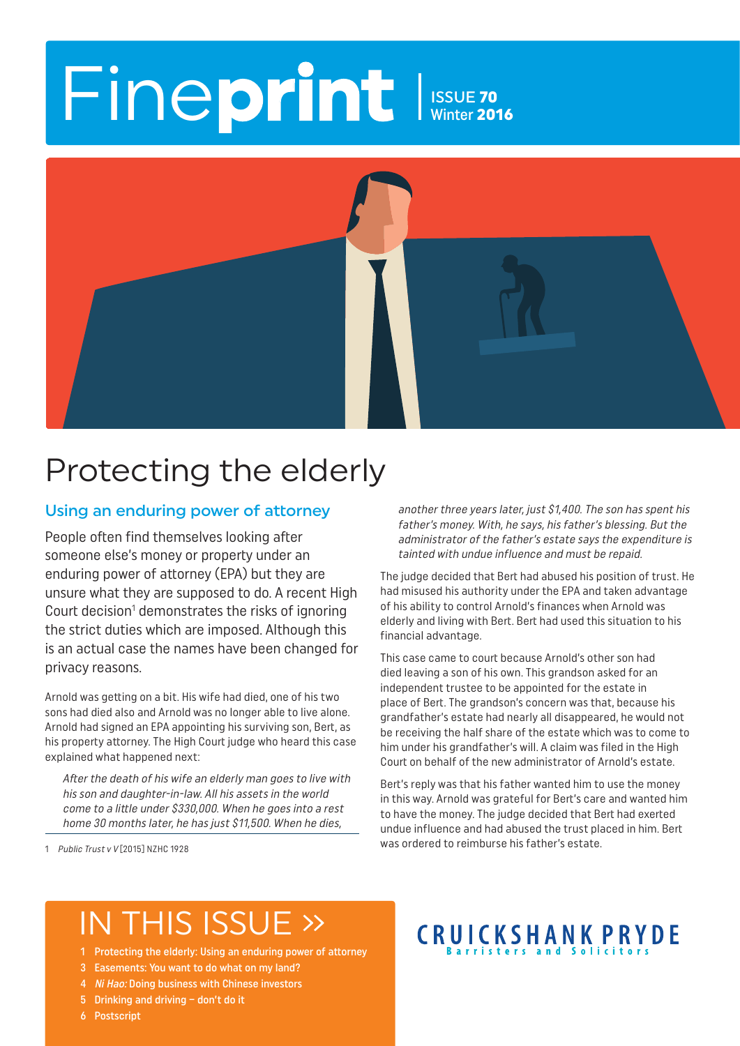# Fineprint ISSUE 70

Winter 2016



### Protecting the elderly

### Using an enduring power of attorney

People often find themselves looking after someone else's money or property under an enduring power of attorney (EPA) but they are unsure what they are supposed to do. A recent High Court decision<sup>1</sup> demonstrates the risks of ignoring the strict duties which are imposed. Although this is an actual case the names have been changed for privacy reasons.

Arnold was getting on a bit. His wife had died, one of his two sons had died also and Arnold was no longer able to live alone. Arnold had signed an EPA appointing his surviving son, Bert, as his property attorney. The High Court judge who heard this case explained what happened next:

After the death of his wife an elderly man goes to live with his son and daughter-in-law. All his assets in the world come to a little under \$330,000. When he goes into a rest home 30 months later, he has just \$11,500. When he dies,

1 Public Trust v V [2015] NZHC 1928

another three years later, just \$1,400. The son has spent his father's money. With, he says, his father's blessing. But the administrator of the father's estate says the expenditure is tainted with undue influence and must be repaid.

The judge decided that Bert had abused his position of trust. He had misused his authority under the EPA and taken advantage of his ability to control Arnold's finances when Arnold was elderly and living with Bert. Bert had used this situation to his financial advantage.

This case came to court because Arnold's other son had died leaving a son of his own. This grandson asked for an independent trustee to be appointed for the estate in place of Bert. The grandson's concern was that, because his grandfather's estate had nearly all disappeared, he would not be receiving the half share of the estate which was to come to him under his grandfather's will. A claim was filed in the High Court on behalf of the new administrator of Arnold's estate.

Bert's reply was that his father wanted him to use the money in this way. Arnold was grateful for Bert's care and wanted him to have the money. The judge decided that Bert had exerted undue influence and had abused the trust placed in him. Bert was ordered to reimburse his father's estate.

### IN THIS ISSUE »

- 1 Protecting the elderly: Using an enduring power of attorney
- 3 Easements: You want to do what on my land?
- 4 Ni Hao: Doing business with Chinese investors
- 5 Drinking and driving don't do it
- 6 Postscript

### **CRUICKSHANK PRYDE**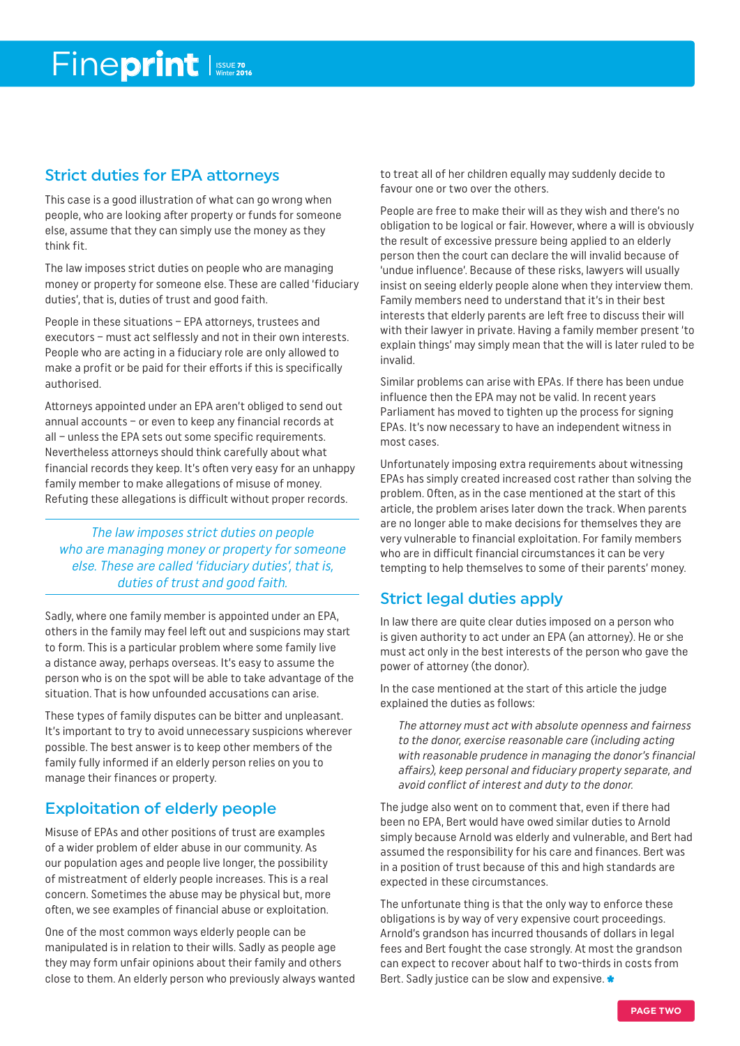### Strict duties for EPA attorneys

This case is a good illustration of what can go wrong when people, who are looking after property or funds for someone else, assume that they can simply use the money as they think fit.

The law imposes strict duties on people who are managing money or property for someone else. These are called 'fiduciary duties', that is, duties of trust and good faith.

People in these situations – EPA attorneys, trustees and executors – must act selflessly and not in their own interests. People who are acting in a fiduciary role are only allowed to make a profit or be paid for their efforts if this is specifically authorised.

Attorneys appointed under an EPA aren't obliged to send out annual accounts – or even to keep any financial records at all – unless the EPA sets out some specific requirements. Nevertheless attorneys should think carefully about what financial records they keep. It's often very easy for an unhappy family member to make allegations of misuse of money. Refuting these allegations is difficult without proper records.

The law imposes strict duties on people who are managing money or property for someone else. These are called 'fiduciary duties', that is, duties of trust and good faith.

Sadly, where one family member is appointed under an EPA, others in the family may feel left out and suspicions may start to form. This is a particular problem where some family live a distance away, perhaps overseas. It's easy to assume the person who is on the spot will be able to take advantage of the situation. That is how unfounded accusations can arise.

These types of family disputes can be bitter and unpleasant. It's important to try to avoid unnecessary suspicions wherever possible. The best answer is to keep other members of the family fully informed if an elderly person relies on you to manage their finances or property.

### Exploitation of elderly people

Misuse of EPAs and other positions of trust are examples of a wider problem of elder abuse in our community. As our population ages and people live longer, the possibility of mistreatment of elderly people increases. This is a real concern. Sometimes the abuse may be physical but, more often, we see examples of financial abuse or exploitation.

One of the most common ways elderly people can be manipulated is in relation to their wills. Sadly as people age they may form unfair opinions about their family and others close to them. An elderly person who previously always wanted to treat all of her children equally may suddenly decide to favour one or two over the others.

People are free to make their will as they wish and there's no obligation to be logical or fair. However, where a will is obviously the result of excessive pressure being applied to an elderly person then the court can declare the will invalid because of 'undue influence'. Because of these risks, lawyers will usually insist on seeing elderly people alone when they interview them. Family members need to understand that it's in their best interests that elderly parents are left free to discuss their will with their lawyer in private. Having a family member present 'to explain things' may simply mean that the will is later ruled to be invalid.

Similar problems can arise with EPAs. If there has been undue influence then the EPA may not be valid. In recent years Parliament has moved to tighten up the process for signing EPAs. It's now necessary to have an independent witness in most cases.

Unfortunately imposing extra requirements about witnessing EPAs has simply created increased cost rather than solving the problem. Often, as in the case mentioned at the start of this article, the problem arises later down the track. When parents are no longer able to make decisions for themselves they are very vulnerable to financial exploitation. For family members who are in difficult financial circumstances it can be very tempting to help themselves to some of their parents' money.

### Strict legal duties apply

In law there are quite clear duties imposed on a person who is given authority to act under an EPA (an attorney). He or she must act only in the best interests of the person who gave the power of attorney (the donor).

In the case mentioned at the start of this article the judge explained the duties as follows:

The attorney must act with absolute openness and fairness to the donor, exercise reasonable care (including acting with reasonable prudence in managing the donor's financial affairs), keep personal and fiduciary property separate, and avoid conflict of interest and duty to the donor.

The judge also went on to comment that, even if there had been no EPA, Bert would have owed similar duties to Arnold simply because Arnold was elderly and vulnerable, and Bert had assumed the responsibility for his care and finances. Bert was in a position of trust because of this and high standards are expected in these circumstances.

The unfortunate thing is that the only way to enforce these obligations is by way of very expensive court proceedings. Arnold's grandson has incurred thousands of dollars in legal fees and Bert fought the case strongly. At most the grandson can expect to recover about half to two-thirds in costs from Bert. Sadly justice can be slow and expensive.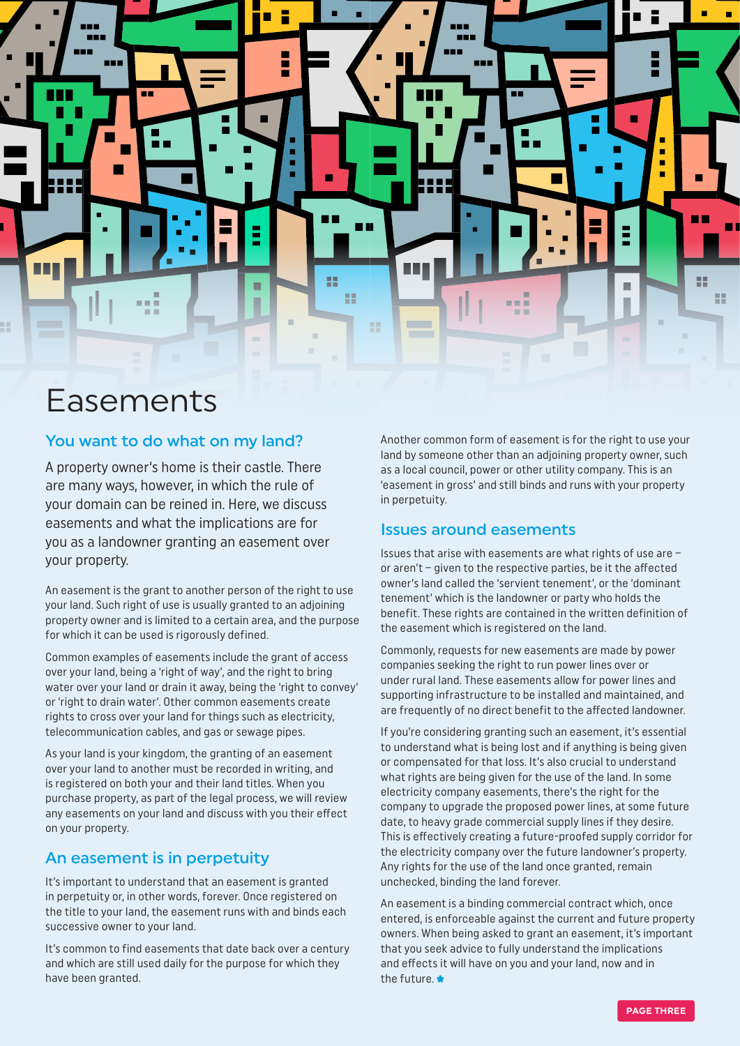

### Easements

### You want to do what on my land?

A property owner's home is their castle. There are many ways, however, in which the rule of your domain can be reined in. Here, we discuss easements and what the implications are for you as a landowner granting an easement over your property.

An easement is the grant to another person of the right to use your land. Such right of use is usually granted to an adjoining property owner and is limited to a certain area, and the purpose for which it can be used is rigorously defined.

Common examples of easements include the grant of access over your land, being a 'right of way', and the right to bring water over your land or drain it away, being the 'right to convey' or 'right to drain water'. Other common easements create rights to cross over your land for things such as electricity, telecommunication cables, and gas or sewage pipes.

As your land is your kingdom, the granting of an easement over your land to another must be recorded in writing, and is registered on both your and their land titles. When you purchase property, as part of the legal process, we will review any easements on your land and discuss with you their effect on your property.

### An easement is in perpetuity

It's important to understand that an easement is granted in perpetuity or, in other words, forever. Once registered on the title to your land, the easement runs with and binds each successive owner to your land.

It's common to find easements that date back over a century and which are still used daily for the purpose for which they have been granted.

Another common form of easement is for the right to use your land by someone other than an adjoining property owner, such as a local council, power or other utility company. This is an 'easement in gross' and still binds and runs with your property in perpetuity.

### Issues around easements

Issues that arise with easements are what rights of use are – or aren't – given to the respective parties, be it the affected owner's land called the 'servient tenement', or the 'dominant tenement' which is the landowner or party who holds the benefit. These rights are contained in the written definition of the easement which is registered on the land.

Commonly, requests for new easements are made by power companies seeking the right to run power lines over or under rural land. These easements allow for power lines and supporting infrastructure to be installed and maintained, and are frequently of no direct benefit to the affected landowner.

If you're considering granting such an easement, it's essential to understand what is being lost and if anything is being given or compensated for that loss. It's also crucial to understand what rights are being given for the use of the land. In some electricity company easements, there's the right for the company to upgrade the proposed power lines, at some future date, to heavy grade commercial supply lines if they desire. This is effectively creating a future-proofed supply corridor for the electricity company over the future landowner's property. Any rights for the use of the land once granted, remain unchecked, binding the land forever.

An easement is a binding commercial contract which, once entered, is enforceable against the current and future property owners. When being asked to grant an easement, it's important that you seek advice to fully understand the implications and effects it will have on you and your land, now and in the future.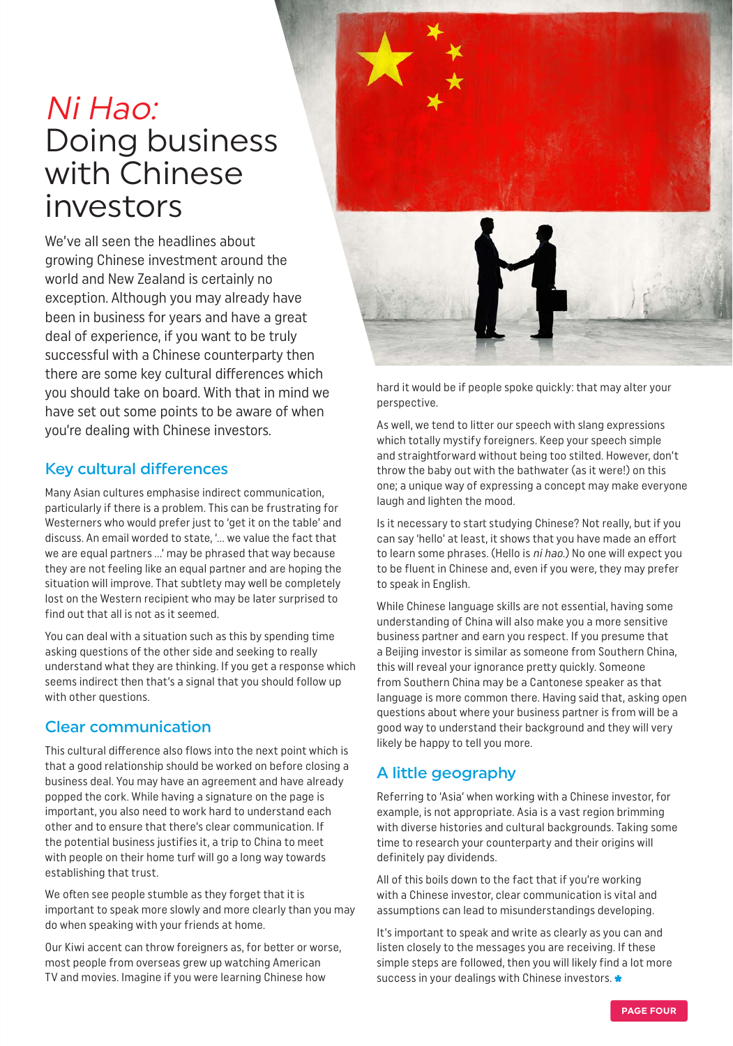### Ni Hao: Doing business with Chinese investors

We've all seen the headlines about growing Chinese investment around the world and New Zealand is certainly no exception. Although you may already have been in business for years and have a great deal of experience, if you want to be truly successful with a Chinese counterparty then there are some key cultural differences which you should take on board. With that in mind we have set out some points to be aware of when you're dealing with Chinese investors.

### Key cultural differences

Many Asian cultures emphasise indirect communication, particularly if there is a problem. This can be frustrating for Westerners who would prefer just to 'get it on the table' and discuss. An email worded to state, '… we value the fact that we are equal partners …' may be phrased that way because they are not feeling like an equal partner and are hoping the situation will improve. That subtlety may well be completely lost on the Western recipient who may be later surprised to find out that all is not as it seemed.

You can deal with a situation such as this by spending time asking questions of the other side and seeking to really understand what they are thinking. If you get a response which seems indirect then that's a signal that you should follow up with other questions.

### Clear communication

This cultural difference also flows into the next point which is that a good relationship should be worked on before closing a business deal. You may have an agreement and have already popped the cork. While having a signature on the page is important, you also need to work hard to understand each other and to ensure that there's clear communication. If the potential business justifies it, a trip to China to meet with people on their home turf will go a long way towards establishing that trust.

We often see people stumble as they forget that it is important to speak more slowly and more clearly than you may do when speaking with your friends at home.

Our Kiwi accent can throw foreigners as, for better or worse, most people from overseas grew up watching American TV and movies. Imagine if you were learning Chinese how





hard it would be if people spoke quickly: that may alter your perspective.

As well, we tend to litter our speech with slang expressions which totally mystify foreigners. Keep your speech simple and straightforward without being too stilted. However, don't throw the baby out with the bathwater (as it were!) on this one; a unique way of expressing a concept may make everyone laugh and lighten the mood.

Is it necessary to start studying Chinese? Not really, but if you can say 'hello' at least, it shows that you have made an effort to learn some phrases. (Hello is ni hao.) No one will expect you to be fluent in Chinese and, even if you were, they may prefer to speak in English.

While Chinese language skills are not essential, having some understanding of China will also make you a more sensitive business partner and earn you respect. If you presume that a Beijing investor is similar as someone from Southern China, this will reveal your ignorance pretty quickly. Someone from Southern China may be a Cantonese speaker as that language is more common there. Having said that, asking open questions about where your business partner is from will be a good way to understand their background and they will very likely be happy to tell you more.

### A little geography

Referring to 'Asia' when working with a Chinese investor, for example, is not appropriate. Asia is a vast region brimming with diverse histories and cultural backgrounds. Taking some time to research your counterparty and their origins will definitely pay dividends.

All of this boils down to the fact that if you're working with a Chinese investor, clear communication is vital and assumptions can lead to misunderstandings developing.

It's important to speak and write as clearly as you can and listen closely to the messages you are receiving. If these simple steps are followed, then you will likely find a lot more success in your dealings with Chinese investors.  $\star$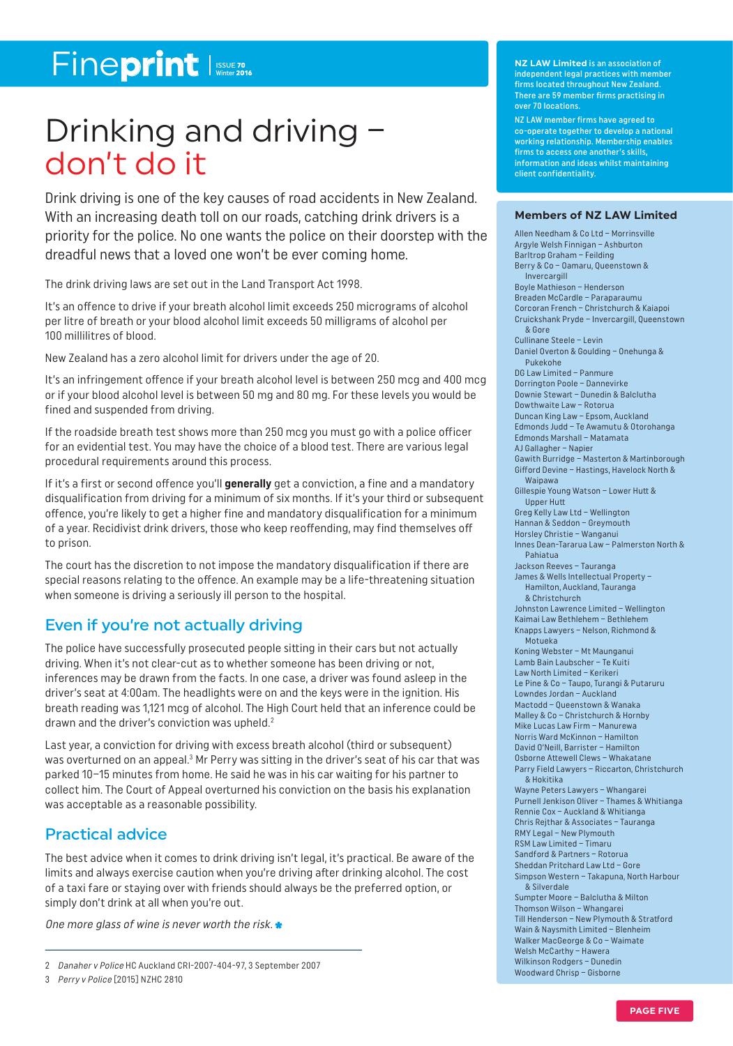### Fineprint

### Drinking and driving – don't do it

Drink driving is one of the key causes of road accidents in New Zealand. With an increasing death toll on our roads, catching drink drivers is a priority for the police. No one wants the police on their doorstep with the dreadful news that a loved one won't be ever coming home.

The drink driving laws are set out in the Land Transport Act 1998.

It's an offence to drive if your breath alcohol limit exceeds 250 micrograms of alcohol per litre of breath or your blood alcohol limit exceeds 50 milligrams of alcohol per 100 millilitres of blood.

New Zealand has a zero alcohol limit for drivers under the age of 20.

It's an infringement offence if your breath alcohol level is between 250 mcg and 400 mcg or if your blood alcohol level is between 50 mg and 80 mg. For these levels you would be fined and suspended from driving.

If the roadside breath test shows more than 250 mcg you must go with a police officer for an evidential test. You may have the choice of a blood test. There are various legal procedural requirements around this process.

If it's a first or second offence you'll **generally** get a conviction, a fine and a mandatory disqualification from driving for a minimum of six months. If it's your third or subsequent offence, you're likely to get a higher fine and mandatory disqualification for a minimum of a year. Recidivist drink drivers, those who keep reoffending, may find themselves off to prison.

The court has the discretion to not impose the mandatory disqualification if there are special reasons relating to the offence. An example may be a life-threatening situation when someone is driving a seriously ill person to the hospital.

### Even if you're not actually driving

The police have successfully prosecuted people sitting in their cars but not actually driving. When it's not clear-cut as to whether someone has been driving or not, inferences may be drawn from the facts. In one case, a driver was found asleep in the driver's seat at 4:00am. The headlights were on and the keys were in the ignition. His breath reading was 1,121 mcg of alcohol. The High Court held that an inference could be drawn and the driver's conviction was upheld. 2

Last year, a conviction for driving with excess breath alcohol (third or subsequent) was overturned on an appeal.<sup>3</sup> Mr Perry was sitting in the driver's seat of his car that was parked 10–15 minutes from home. He said he was in his car waiting for his partner to collect him. The Court of Appeal overturned his conviction on the basis his explanation was acceptable as a reasonable possibility.

### Practical advice

The best advice when it comes to drink driving isn't legal, it's practical. Be aware of the limits and always exercise caution when you're driving after drinking alcohol. The cost of a taxi fare or staying over with friends should always be the preferred option, or simply don't drink at all when you're out.

One more glass of wine is never worth the risk.  $\bullet$ 

**NZ LAW Limited** is an association of independent legal practices with member firms located throughout New Zealand. There are 59 member firms practising in over 70 locations.

NZ LAW member firms have agreed to co-operate together to develop a national working relationship. Membership enables firms to access one another's skills, information and ideas whilst maintaining client confidentiality.

#### **Members of NZ LAW Limited**

Allen Needham & Co Ltd – Morrinsville Argyle Welsh Finnigan – Ashburton Barltrop Graham – Feilding Berry & Co – Oamaru, Queenstown & Invercargill Boyle Mathieson – Henderson Breaden McCardle – Paraparaumu Corcoran French – Christchurch & Kaiapoi Cruickshank Pryde – Invercargill, Queenstown & Gore Cullinane Steele – Levin Daniel Overton & Goulding – Onehunga & Pukekohe DG Law Limited – Panmure Dorrington Poole – Dannevirke Downie Stewart – Dunedin & Balclutha Dowthwaite Law – Rotorua Duncan King Law – Epsom, Aucklan d Edmonds Judd – Te Awamutu & Otorohanga Edmonds Marshall – Matamata AJ Gallagher – Napier Gawith Burridge – Masterton & Martinborough Gifford Devine – Hastings, Havelock North & Waipawa Gillespie Young Watson – Lower Hutt & Upper Hutt Greg Kelly Law Ltd – Wellington Hannan & Seddon – Greymouth Horsley Christie – Wanganui Innes Dean-Tararua Law – Palmerston North & Pahiatua Jackson Reeves – Tauranga James & Wells Intellectual Property – Hamilton, Auckland, Tauranga & Christchurch Johnston Lawrence Limited – Wellington Kaimai Law Bethlehem – Bethlehem Knapps Lawyers – Nelson, Richmond & Motueka Koning Webster – Mt Maunganui Lamb Bain Laubscher – Te Kuiti Law North Limited – Kerikeri Le Pine & Co – Taupo, Turangi & Putaruru Lowndes Jordan – Auckland Mactodd – Queenstown & Wanaka Malley & Co – Christchurch & Hornby Mike Lucas Law Firm – Manurewa Norris Ward McKinnon – Hamilton David O'Neill, Barrister – Hamilton Osborne Attewell Clews – Whakatane Parry Field Lawyers – Riccarton, Christchurch & Hokitika Wayne Peters Lawyers – Whangarei Purnell Jenkison Oliver – Thames & Whitianga Rennie Cox – Auckland & Whitianga Chris Rejthar & Associates – Tauranga RMY Legal – New Plymouth RSM Law Limited – Timaru Sandford & Partners – Rotorua Sheddan Pritchard Law Ltd – Gore Simpson Western – Takapuna, North Harbour & Silverdale Sumpter Moore – Balclutha & Milton Thomson Wilson – Whangarei Till Henderson – New Plymouth & Stratford Wain & Naysmith Limited – Blenheim Walker MacGeorge & Co – Waimate Welsh McCarthy – Hawera Wilkinson Rodgers – Dunedin Woodward Chrisp – Gisborne

<sup>2</sup> Danaher v Police HC Auckland CRI-2007-404-97, 3 September 2007

<sup>3</sup> Perry v Police [2015] NZHC 2810